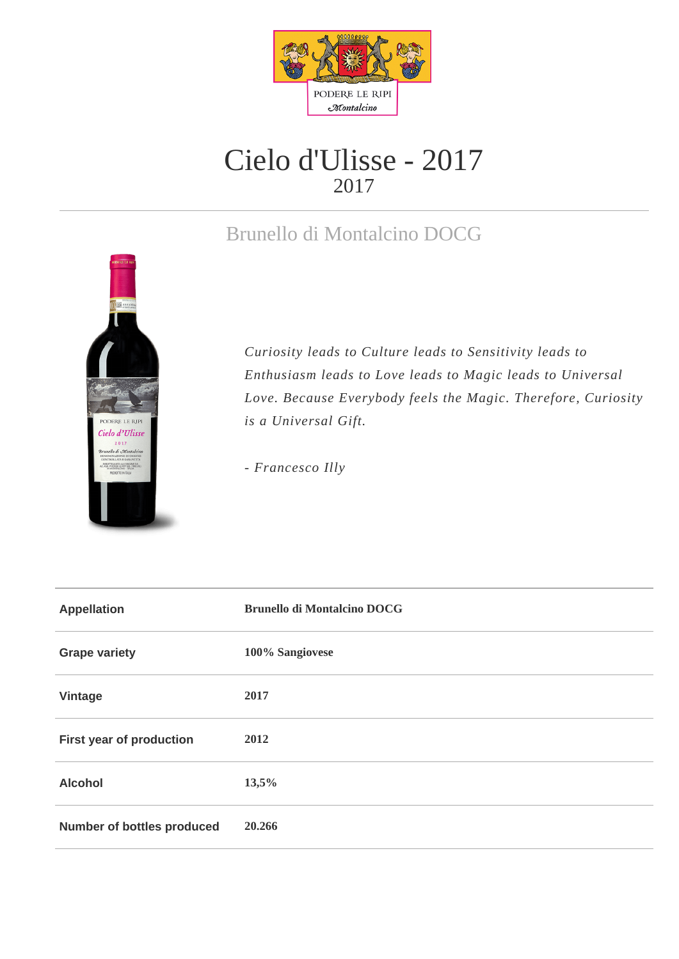

## Cielo d'Ulisse - 2017 2017

## Brunello di Montalcino DOCG



*Curiosity leads to Culture leads to Sensitivity leads to Enthusiasm leads to Love leads to Magic leads to Universal Love. Because Everybody feels the Magic. Therefore, Curiosity is a Universal Gift.* 

*- Francesco Illy*

| <b>Appellation</b>                | <b>Brunello di Montalcino DOCG</b> |
|-----------------------------------|------------------------------------|
| <b>Grape variety</b>              | 100% Sangiovese                    |
| Vintage                           | 2017                               |
| First year of production          | 2012                               |
| <b>Alcohol</b>                    | 13,5%                              |
| <b>Number of bottles produced</b> | 20.266                             |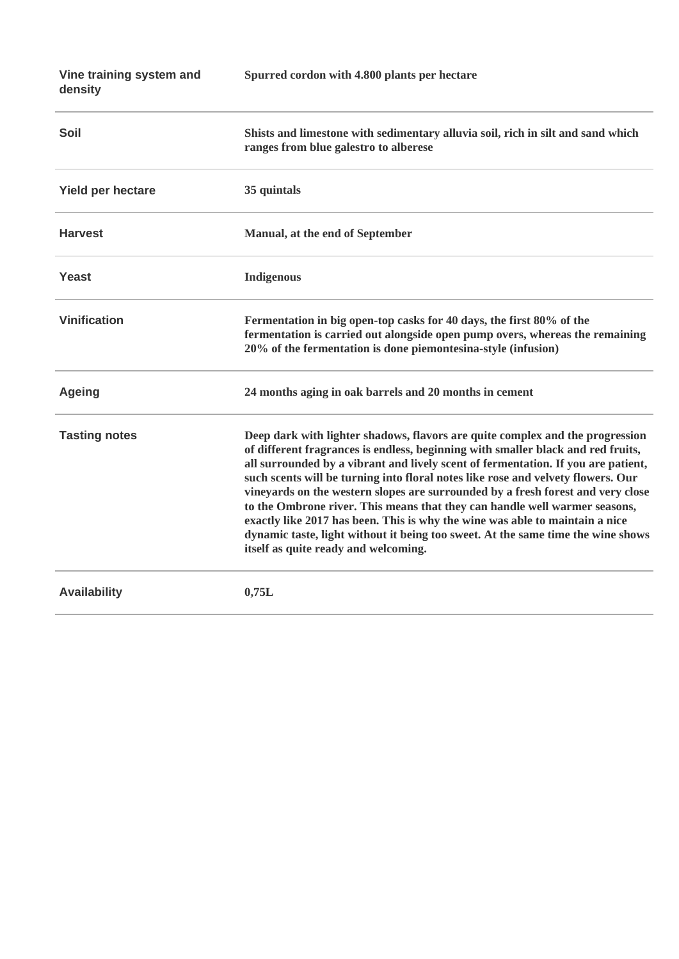| Vine training system and<br>density | Spurred cordon with 4.800 plants per hectare                                                                                                                                                                                                                                                                                                                                                                                                                                                                                                                                                                                                                                                                            |
|-------------------------------------|-------------------------------------------------------------------------------------------------------------------------------------------------------------------------------------------------------------------------------------------------------------------------------------------------------------------------------------------------------------------------------------------------------------------------------------------------------------------------------------------------------------------------------------------------------------------------------------------------------------------------------------------------------------------------------------------------------------------------|
| Soil                                | Shists and limestone with sedimentary alluvia soil, rich in silt and sand which<br>ranges from blue galestro to alberese                                                                                                                                                                                                                                                                                                                                                                                                                                                                                                                                                                                                |
| <b>Yield per hectare</b>            | 35 quintals                                                                                                                                                                                                                                                                                                                                                                                                                                                                                                                                                                                                                                                                                                             |
| <b>Harvest</b>                      | Manual, at the end of September                                                                                                                                                                                                                                                                                                                                                                                                                                                                                                                                                                                                                                                                                         |
| <b>Yeast</b>                        | <b>Indigenous</b>                                                                                                                                                                                                                                                                                                                                                                                                                                                                                                                                                                                                                                                                                                       |
| <b>Vinification</b>                 | Fermentation in big open-top casks for 40 days, the first 80% of the<br>fermentation is carried out alongside open pump overs, whereas the remaining<br>20% of the fermentation is done piemontesina-style (infusion)                                                                                                                                                                                                                                                                                                                                                                                                                                                                                                   |
| <b>Ageing</b>                       | 24 months aging in oak barrels and 20 months in cement                                                                                                                                                                                                                                                                                                                                                                                                                                                                                                                                                                                                                                                                  |
| <b>Tasting notes</b>                | Deep dark with lighter shadows, flavors are quite complex and the progression<br>of different fragrances is endless, beginning with smaller black and red fruits,<br>all surrounded by a vibrant and lively scent of fermentation. If you are patient,<br>such scents will be turning into floral notes like rose and velvety flowers. Our<br>vineyards on the western slopes are surrounded by a fresh forest and very close<br>to the Ombrone river. This means that they can handle well warmer seasons,<br>exactly like 2017 has been. This is why the wine was able to maintain a nice<br>dynamic taste, light without it being too sweet. At the same time the wine shows<br>itself as quite ready and welcoming. |
| <b>Availability</b>                 | 0,75L                                                                                                                                                                                                                                                                                                                                                                                                                                                                                                                                                                                                                                                                                                                   |